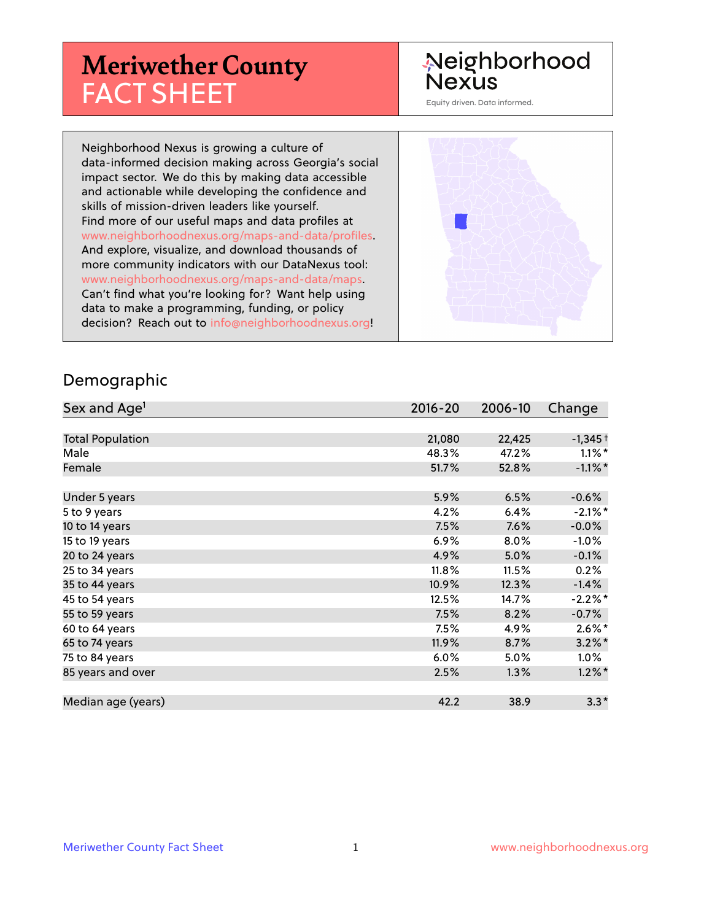# **Meriwether County** FACT SHEET

# Neighborhood **Nexus**

Equity driven. Data informed.

Neighborhood Nexus is growing a culture of data-informed decision making across Georgia's social impact sector. We do this by making data accessible and actionable while developing the confidence and skills of mission-driven leaders like yourself. Find more of our useful maps and data profiles at www.neighborhoodnexus.org/maps-and-data/profiles. And explore, visualize, and download thousands of more community indicators with our DataNexus tool: www.neighborhoodnexus.org/maps-and-data/maps. Can't find what you're looking for? Want help using data to make a programming, funding, or policy decision? Reach out to [info@neighborhoodnexus.org!](mailto:info@neighborhoodnexus.org)



#### Demographic

| Sex and Age <sup>1</sup> | $2016 - 20$ | 2006-10 | Change               |
|--------------------------|-------------|---------|----------------------|
|                          |             |         |                      |
| <b>Total Population</b>  | 21,080      | 22,425  | $-1,345+$            |
| Male                     | 48.3%       | 47.2%   | $1.1\%$ *            |
| Female                   | 51.7%       | 52.8%   | $-1.1\%$ *           |
|                          |             |         |                      |
| Under 5 years            | 5.9%        | 6.5%    | $-0.6%$              |
| 5 to 9 years             | 4.2%        | 6.4%    | $-2.1\%$ *           |
| 10 to 14 years           | 7.5%        | 7.6%    | $-0.0\%$             |
| 15 to 19 years           | 6.9%        | $8.0\%$ | $-1.0%$              |
| 20 to 24 years           | 4.9%        | 5.0%    | $-0.1%$              |
| 25 to 34 years           | 11.8%       | 11.5%   | 0.2%                 |
| 35 to 44 years           | 10.9%       | 12.3%   | $-1.4%$              |
| 45 to 54 years           | 12.5%       | 14.7%   | $-2.2%$ *            |
| 55 to 59 years           | 7.5%        | 8.2%    | $-0.7%$              |
| 60 to 64 years           | 7.5%        | 4.9%    | $2.6\%$ *            |
| 65 to 74 years           | 11.9%       | 8.7%    | $3.2\%$ <sup>*</sup> |
| 75 to 84 years           | $6.0\%$     | 5.0%    | $1.0\%$              |
| 85 years and over        | 2.5%        | 1.3%    | $1.2\%$ *            |
|                          |             |         |                      |
| Median age (years)       | 42.2        | 38.9    | $3.3*$               |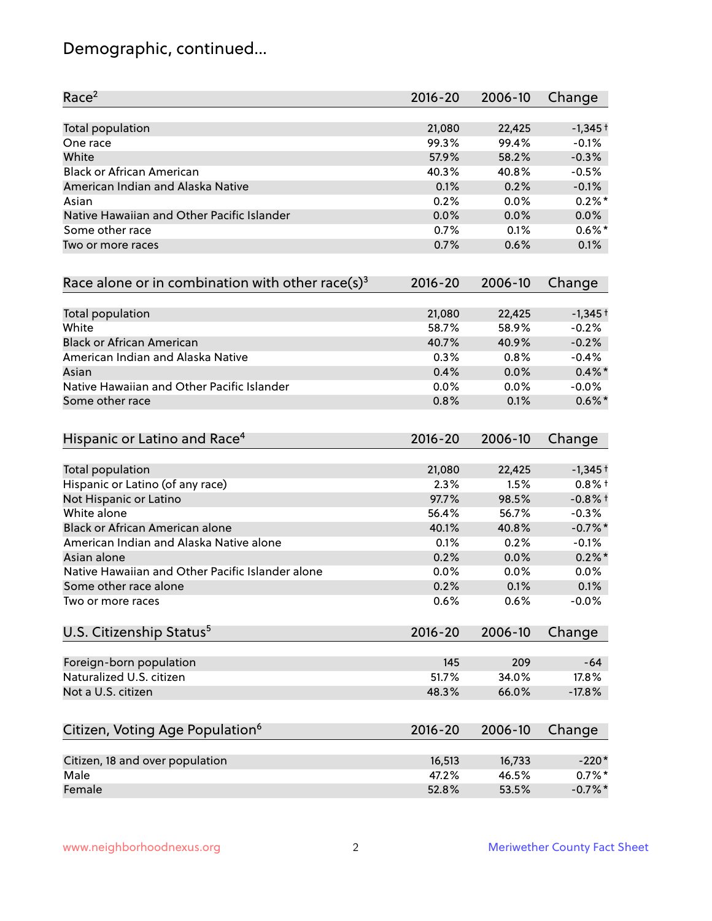# Demographic, continued...

| Race <sup>2</sup>                                   | $2016 - 20$ | 2006-10 | Change    |
|-----------------------------------------------------|-------------|---------|-----------|
| <b>Total population</b>                             | 21,080      | 22,425  | $-1,345+$ |
| One race                                            | 99.3%       | 99.4%   | $-0.1%$   |
| White                                               | 57.9%       | 58.2%   | $-0.3%$   |
| <b>Black or African American</b>                    | 40.3%       | 40.8%   | $-0.5%$   |
| American Indian and Alaska Native                   | 0.1%        | 0.2%    | $-0.1%$   |
| Asian                                               | 0.2%        | 0.0%    | $0.2\%$ * |
| Native Hawaiian and Other Pacific Islander          | 0.0%        | 0.0%    | 0.0%      |
| Some other race                                     | 0.7%        | 0.1%    | $0.6\%$ * |
| Two or more races                                   | 0.7%        | 0.6%    | 0.1%      |
| Race alone or in combination with other race(s) $3$ | $2016 - 20$ | 2006-10 | Change    |
| Total population                                    | 21,080      | 22,425  | $-1,345+$ |
| White                                               | 58.7%       | 58.9%   | $-0.2%$   |
| <b>Black or African American</b>                    | 40.7%       | 40.9%   | $-0.2%$   |
| American Indian and Alaska Native                   | 0.3%        | 0.8%    | $-0.4%$   |
| Asian                                               | 0.4%        | 0.0%    | $0.4\%$ * |
| Native Hawaiian and Other Pacific Islander          | 0.0%        | 0.0%    | $-0.0%$   |
| Some other race                                     | 0.8%        | 0.1%    | $0.6\%$ * |
| Hispanic or Latino and Race <sup>4</sup>            | $2016 - 20$ | 2006-10 | Change    |
| <b>Total population</b>                             | 21,080      | 22,425  | $-1,345+$ |
| Hispanic or Latino (of any race)                    | 2.3%        | 1.5%    | $0.8%$ +  |
| Not Hispanic or Latino                              | 97.7%       | 98.5%   | $-0.8%$ † |
| White alone                                         | 56.4%       | 56.7%   | $-0.3%$   |
| Black or African American alone                     | 40.1%       | 40.8%   | $-0.7%$ * |
| American Indian and Alaska Native alone             | 0.1%        | 0.2%    | $-0.1%$   |
| Asian alone                                         | 0.2%        | 0.0%    | $0.2\%$ * |
| Native Hawaiian and Other Pacific Islander alone    | 0.0%        | 0.0%    | 0.0%      |
| Some other race alone                               | 0.2%        | 0.1%    | 0.1%      |
| Two or more races                                   | 0.6%        | 0.6%    | $-0.0%$   |
| U.S. Citizenship Status <sup>5</sup>                | $2016 - 20$ | 2006-10 | Change    |
| Foreign-born population                             | 145         | 209     | $-64$     |
| Naturalized U.S. citizen                            | 51.7%       | 34.0%   | 17.8%     |
| Not a U.S. citizen                                  | 48.3%       | 66.0%   | $-17.8%$  |
| Citizen, Voting Age Population <sup>6</sup>         | $2016 - 20$ | 2006-10 |           |
|                                                     |             |         | Change    |
| Citizen, 18 and over population                     | 16,513      | 16,733  | $-220*$   |
| Male                                                | 47.2%       | 46.5%   | $0.7\%$ * |
| Female                                              | 52.8%       | 53.5%   | $-0.7%$ * |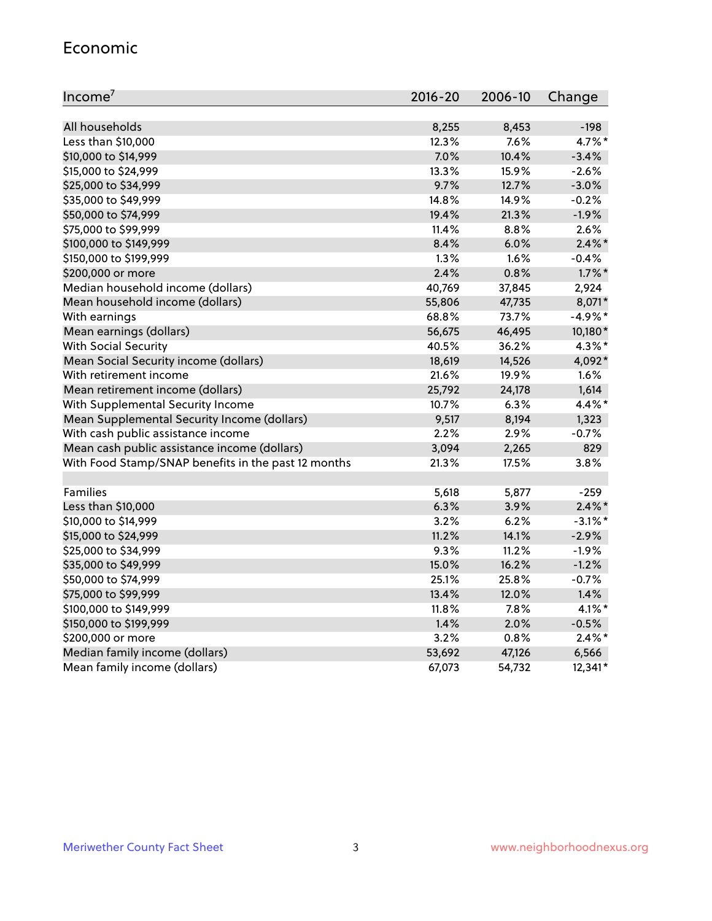#### Economic

| Income <sup>7</sup>                                 | $2016 - 20$ | 2006-10 | Change     |
|-----------------------------------------------------|-------------|---------|------------|
|                                                     |             |         |            |
| All households                                      | 8,255       | 8,453   | $-198$     |
| Less than \$10,000                                  | 12.3%       | 7.6%    | 4.7%*      |
| \$10,000 to \$14,999                                | 7.0%        | 10.4%   | $-3.4%$    |
| \$15,000 to \$24,999                                | 13.3%       | 15.9%   | $-2.6%$    |
| \$25,000 to \$34,999                                | 9.7%        | 12.7%   | $-3.0%$    |
| \$35,000 to \$49,999                                | 14.8%       | 14.9%   | $-0.2%$    |
| \$50,000 to \$74,999                                | 19.4%       | 21.3%   | $-1.9%$    |
| \$75,000 to \$99,999                                | 11.4%       | 8.8%    | 2.6%       |
| \$100,000 to \$149,999                              | 8.4%        | 6.0%    | $2.4\%$ *  |
| \$150,000 to \$199,999                              | 1.3%        | 1.6%    | $-0.4%$    |
| \$200,000 or more                                   | 2.4%        | 0.8%    | $1.7\%$ *  |
| Median household income (dollars)                   | 40,769      | 37,845  | 2,924      |
| Mean household income (dollars)                     | 55,806      | 47,735  | 8,071*     |
| With earnings                                       | 68.8%       | 73.7%   | $-4.9%$ *  |
| Mean earnings (dollars)                             | 56,675      | 46,495  | 10,180*    |
| <b>With Social Security</b>                         | 40.5%       | 36.2%   | $4.3\%$ *  |
| Mean Social Security income (dollars)               | 18,619      | 14,526  | 4,092*     |
| With retirement income                              | 21.6%       | 19.9%   | 1.6%       |
| Mean retirement income (dollars)                    | 25,792      | 24,178  | 1,614      |
| With Supplemental Security Income                   | 10.7%       | 6.3%    | 4.4%*      |
| Mean Supplemental Security Income (dollars)         | 9,517       | 8,194   | 1,323      |
| With cash public assistance income                  | 2.2%        | 2.9%    | $-0.7%$    |
| Mean cash public assistance income (dollars)        | 3,094       | 2,265   | 829        |
| With Food Stamp/SNAP benefits in the past 12 months | 21.3%       | 17.5%   | 3.8%       |
|                                                     |             |         |            |
| Families                                            | 5,618       | 5,877   | $-259$     |
| Less than \$10,000                                  | 6.3%        | 3.9%    | $2.4\%$ *  |
| \$10,000 to \$14,999                                | 3.2%        | 6.2%    | $-3.1\%$ * |
| \$15,000 to \$24,999                                | 11.2%       | 14.1%   | $-2.9%$    |
| \$25,000 to \$34,999                                | 9.3%        | 11.2%   | $-1.9%$    |
| \$35,000 to \$49,999                                | 15.0%       | 16.2%   | $-1.2%$    |
| \$50,000 to \$74,999                                | 25.1%       | 25.8%   | $-0.7%$    |
| \$75,000 to \$99,999                                | 13.4%       | 12.0%   | 1.4%       |
| \$100,000 to \$149,999                              | $11.8\%$    | $7.8\%$ | $4.1\%$ *  |
| \$150,000 to \$199,999                              | 1.4%        | 2.0%    | $-0.5%$    |
| \$200,000 or more                                   | 3.2%        | 0.8%    | $2.4\%$ *  |
| Median family income (dollars)                      | 53,692      | 47,126  | 6,566      |
| Mean family income (dollars)                        | 67,073      | 54,732  | 12,341*    |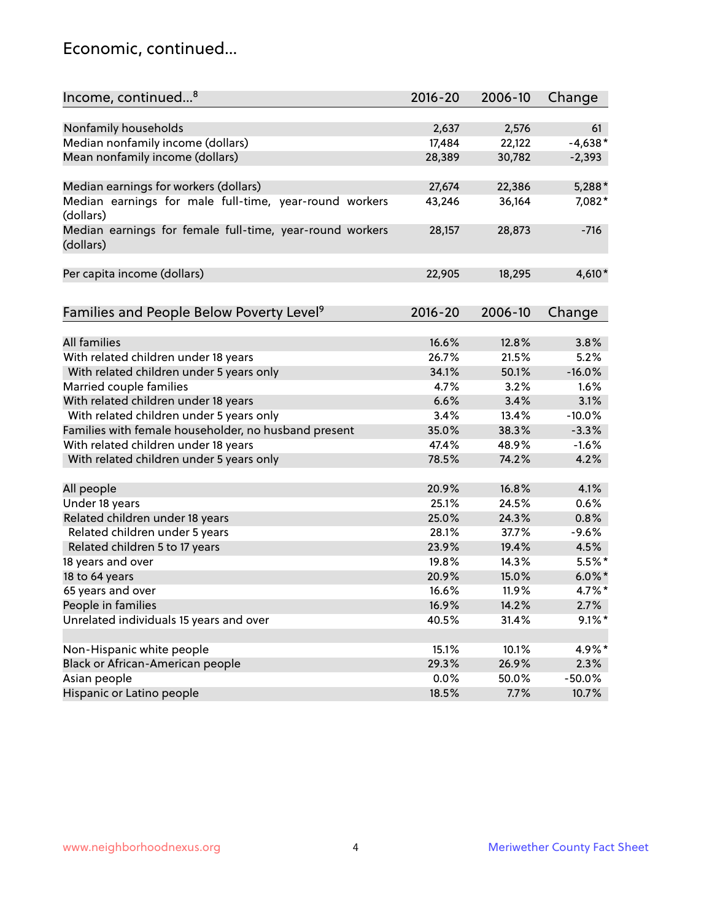### Economic, continued...

| Income, continued <sup>8</sup>                           | $2016 - 20$ | 2006-10 | Change    |
|----------------------------------------------------------|-------------|---------|-----------|
|                                                          |             |         |           |
| Nonfamily households                                     | 2,637       | 2,576   | 61        |
| Median nonfamily income (dollars)                        | 17,484      | 22,122  | $-4,638*$ |
| Mean nonfamily income (dollars)                          | 28,389      | 30,782  | $-2,393$  |
|                                                          |             |         |           |
| Median earnings for workers (dollars)                    | 27,674      | 22,386  | 5,288*    |
| Median earnings for male full-time, year-round workers   | 43,246      | 36,164  | 7,082*    |
| (dollars)                                                |             |         |           |
| Median earnings for female full-time, year-round workers | 28,157      | 28,873  | $-716$    |
| (dollars)                                                |             |         |           |
| Per capita income (dollars)                              | 22,905      | 18,295  | 4,610*    |
|                                                          |             |         |           |
|                                                          |             |         |           |
| Families and People Below Poverty Level <sup>9</sup>     | 2016-20     | 2006-10 | Change    |
|                                                          |             |         |           |
| <b>All families</b>                                      | 16.6%       | 12.8%   | 3.8%      |
| With related children under 18 years                     | 26.7%       | 21.5%   | 5.2%      |
| With related children under 5 years only                 | 34.1%       | 50.1%   | $-16.0%$  |
| Married couple families                                  | 4.7%        | 3.2%    | 1.6%      |
| With related children under 18 years                     | 6.6%        | 3.4%    | 3.1%      |
| With related children under 5 years only                 | 3.4%        | 13.4%   | $-10.0%$  |
| Families with female householder, no husband present     | 35.0%       | 38.3%   | $-3.3%$   |
| With related children under 18 years                     | 47.4%       | 48.9%   | $-1.6%$   |
| With related children under 5 years only                 | 78.5%       | 74.2%   | 4.2%      |
|                                                          |             |         |           |
| All people                                               | 20.9%       | 16.8%   | 4.1%      |
| Under 18 years                                           | 25.1%       | 24.5%   | 0.6%      |
| Related children under 18 years                          | 25.0%       | 24.3%   | 0.8%      |
| Related children under 5 years                           | 28.1%       | 37.7%   | $-9.6%$   |
| Related children 5 to 17 years                           | 23.9%       | 19.4%   | 4.5%      |
| 18 years and over                                        | 19.8%       | 14.3%   | $5.5%$ *  |
| 18 to 64 years                                           | 20.9%       | 15.0%   | $6.0\%$ * |
| 65 years and over                                        | 16.6%       | 11.9%   | 4.7%*     |
| People in families                                       | 16.9%       | 14.2%   | 2.7%      |
| Unrelated individuals 15 years and over                  | 40.5%       | 31.4%   | $9.1\%$ * |
|                                                          |             |         |           |
| Non-Hispanic white people                                | 15.1%       | 10.1%   | 4.9%*     |
| Black or African-American people                         | 29.3%       | 26.9%   | 2.3%      |
| Asian people                                             | 0.0%        | 50.0%   | $-50.0%$  |
| Hispanic or Latino people                                | 18.5%       | 7.7%    | 10.7%     |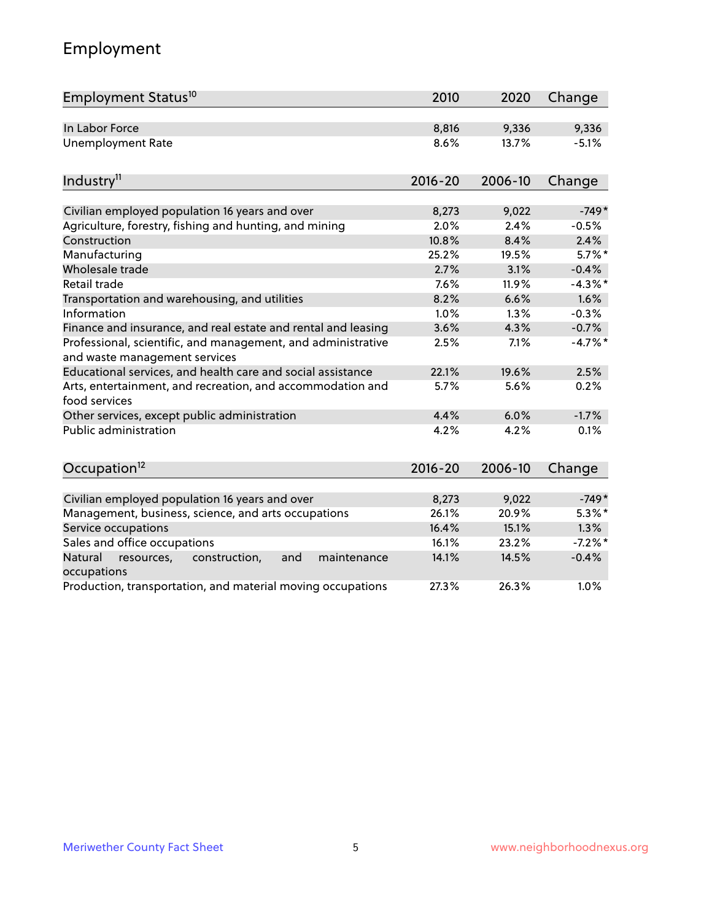# Employment

| Employment Status <sup>10</sup>                                                               | 2010        | 2020    | Change    |
|-----------------------------------------------------------------------------------------------|-------------|---------|-----------|
| In Labor Force                                                                                | 8,816       | 9,336   | 9,336     |
| <b>Unemployment Rate</b>                                                                      | 8.6%        | 13.7%   | $-5.1%$   |
| Industry <sup>11</sup>                                                                        | $2016 - 20$ | 2006-10 | Change    |
| Civilian employed population 16 years and over                                                | 8,273       | 9,022   | $-749*$   |
| Agriculture, forestry, fishing and hunting, and mining                                        | 2.0%        | 2.4%    | $-0.5%$   |
| Construction                                                                                  | 10.8%       | 8.4%    | 2.4%      |
| Manufacturing                                                                                 | 25.2%       | 19.5%   | $5.7\%$ * |
| Wholesale trade                                                                               | 2.7%        | 3.1%    | $-0.4%$   |
| Retail trade                                                                                  | 7.6%        | 11.9%   | $-4.3%$ * |
| Transportation and warehousing, and utilities                                                 | 8.2%        | 6.6%    | 1.6%      |
| Information                                                                                   | 1.0%        | 1.3%    | $-0.3%$   |
| Finance and insurance, and real estate and rental and leasing                                 | 3.6%        | 4.3%    | $-0.7%$   |
| Professional, scientific, and management, and administrative<br>and waste management services | 2.5%        | 7.1%    | $-4.7%$ * |
| Educational services, and health care and social assistance                                   | 22.1%       | 19.6%   | 2.5%      |
| Arts, entertainment, and recreation, and accommodation and<br>food services                   | 5.7%        | 5.6%    | 0.2%      |
| Other services, except public administration                                                  | 4.4%        | 6.0%    | $-1.7%$   |
| <b>Public administration</b>                                                                  | 4.2%        | 4.2%    | 0.1%      |
| Occupation <sup>12</sup>                                                                      | $2016 - 20$ | 2006-10 | Change    |
|                                                                                               |             |         |           |
| Civilian employed population 16 years and over                                                | 8,273       | 9,022   | $-749*$   |
| Management, business, science, and arts occupations                                           | 26.1%       | 20.9%   | $5.3\%$ * |
| Service occupations                                                                           | 16.4%       | 15.1%   | 1.3%      |
| Sales and office occupations                                                                  | 16.1%       | 23.2%   | $-7.2%$ * |
| Natural<br>construction,<br>and<br>maintenance<br>resources,<br>occupations                   | 14.1%       | 14.5%   | $-0.4%$   |
| Production, transportation, and material moving occupations                                   | 27.3%       | 26.3%   | 1.0%      |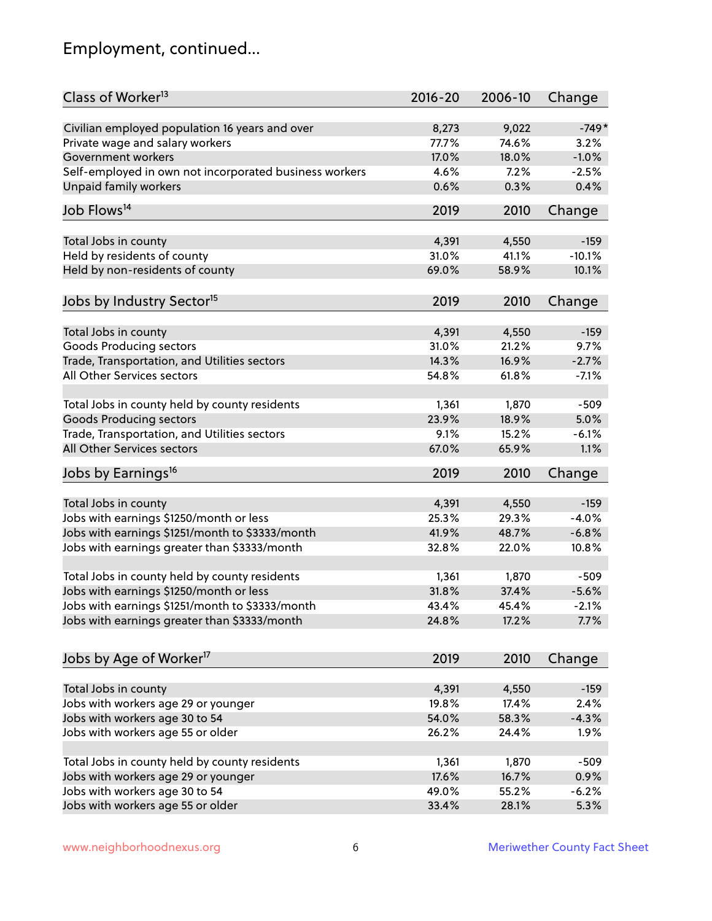# Employment, continued...

| Class of Worker <sup>13</sup>                          | $2016 - 20$ | 2006-10 | Change   |
|--------------------------------------------------------|-------------|---------|----------|
| Civilian employed population 16 years and over         | 8,273       | 9,022   | $-749*$  |
| Private wage and salary workers                        | 77.7%       | 74.6%   | 3.2%     |
| Government workers                                     | 17.0%       | 18.0%   | $-1.0%$  |
| Self-employed in own not incorporated business workers | 4.6%        | 7.2%    | $-2.5%$  |
| Unpaid family workers                                  | 0.6%        | 0.3%    | 0.4%     |
| Job Flows <sup>14</sup>                                | 2019        | 2010    | Change   |
| Total Jobs in county                                   | 4,391       | 4,550   | $-159$   |
| Held by residents of county                            | 31.0%       | 41.1%   | $-10.1%$ |
| Held by non-residents of county                        | 69.0%       | 58.9%   | 10.1%    |
|                                                        |             |         |          |
| Jobs by Industry Sector <sup>15</sup>                  | 2019        | 2010    | Change   |
| Total Jobs in county                                   | 4,391       | 4,550   | $-159$   |
| Goods Producing sectors                                | 31.0%       | 21.2%   | 9.7%     |
| Trade, Transportation, and Utilities sectors           | 14.3%       | 16.9%   | $-2.7%$  |
| All Other Services sectors                             | 54.8%       | 61.8%   | $-7.1%$  |
|                                                        |             |         |          |
| Total Jobs in county held by county residents          | 1,361       | 1,870   | $-509$   |
| <b>Goods Producing sectors</b>                         | 23.9%       | 18.9%   | 5.0%     |
| Trade, Transportation, and Utilities sectors           | 9.1%        | 15.2%   | $-6.1%$  |
| All Other Services sectors                             | 67.0%       | 65.9%   | 1.1%     |
| Jobs by Earnings <sup>16</sup>                         | 2019        | 2010    | Change   |
|                                                        |             |         |          |
| Total Jobs in county                                   | 4,391       | 4,550   | $-159$   |
| Jobs with earnings \$1250/month or less                | 25.3%       | 29.3%   | $-4.0%$  |
| Jobs with earnings \$1251/month to \$3333/month        | 41.9%       | 48.7%   | $-6.8%$  |
| Jobs with earnings greater than \$3333/month           | 32.8%       | 22.0%   | 10.8%    |
| Total Jobs in county held by county residents          | 1,361       | 1,870   | $-509$   |
| Jobs with earnings \$1250/month or less                | 31.8%       | 37.4%   | $-5.6%$  |
| Jobs with earnings \$1251/month to \$3333/month        | 43.4%       | 45.4%   | $-2.1\%$ |
| Jobs with earnings greater than \$3333/month           | 24.8%       | 17.2%   | 7.7%     |
|                                                        |             |         |          |
| Jobs by Age of Worker <sup>17</sup>                    | 2019        | 2010    | Change   |
| Total Jobs in county                                   | 4,391       | 4,550   | $-159$   |
| Jobs with workers age 29 or younger                    | 19.8%       | 17.4%   | 2.4%     |
| Jobs with workers age 30 to 54                         | 54.0%       | 58.3%   | $-4.3%$  |
| Jobs with workers age 55 or older                      | 26.2%       | 24.4%   | 1.9%     |
|                                                        |             |         |          |
| Total Jobs in county held by county residents          | 1,361       | 1,870   | $-509$   |
| Jobs with workers age 29 or younger                    | 17.6%       | 16.7%   | 0.9%     |
| Jobs with workers age 30 to 54                         | 49.0%       | 55.2%   | $-6.2%$  |
| Jobs with workers age 55 or older                      | 33.4%       | 28.1%   | 5.3%     |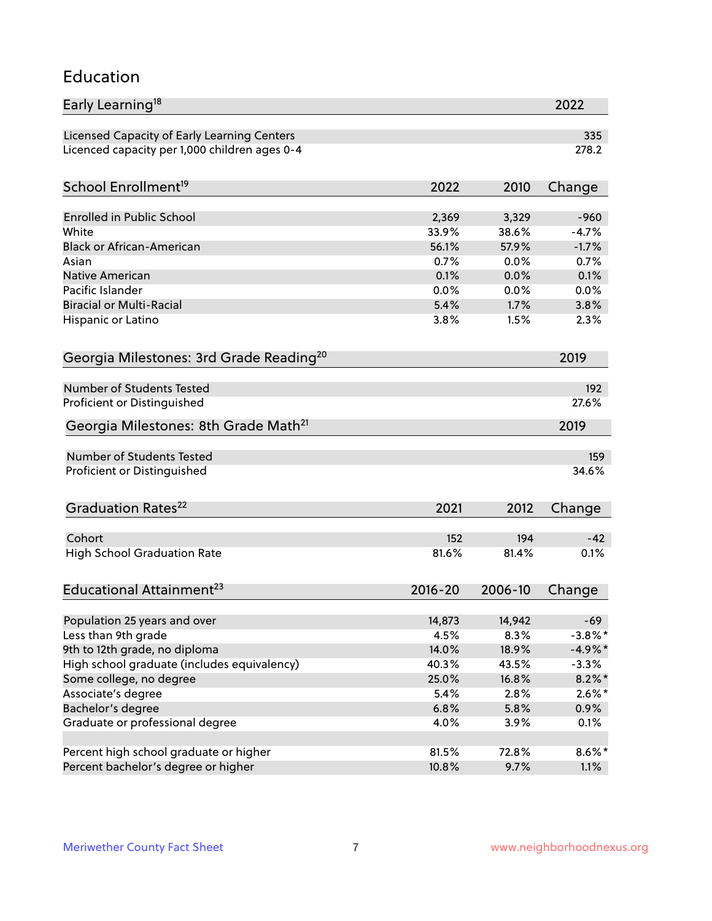#### Education

| Early Learning <sup>18</sup>                        |             |               | 2022       |
|-----------------------------------------------------|-------------|---------------|------------|
| Licensed Capacity of Early Learning Centers         |             |               | 335        |
| Licenced capacity per 1,000 children ages 0-4       |             |               | 278.2      |
| School Enrollment <sup>19</sup>                     | 2022        | 2010          | Change     |
|                                                     |             |               |            |
| <b>Enrolled in Public School</b>                    | 2,369       | 3,329         | $-960$     |
| White                                               | 33.9%       | 38.6%         | $-4.7%$    |
| <b>Black or African-American</b>                    | 56.1%       | 57.9%         | $-1.7%$    |
| Asian                                               | 0.7%        | 0.0%          | 0.7%       |
| Native American                                     | 0.1%        | 0.0%          | 0.1%       |
| Pacific Islander                                    | 0.0%        | 0.0%          | 0.0%       |
| <b>Biracial or Multi-Racial</b>                     | 5.4%        | 1.7%          | 3.8%       |
| Hispanic or Latino                                  | 3.8%        | 1.5%          | 2.3%       |
| Georgia Milestones: 3rd Grade Reading <sup>20</sup> |             |               | 2019       |
|                                                     |             |               |            |
| <b>Number of Students Tested</b>                    |             |               | 192        |
| Proficient or Distinguished                         |             |               | 27.6%      |
| Georgia Milestones: 8th Grade Math <sup>21</sup>    |             |               | 2019       |
| Number of Students Tested                           |             |               | 159        |
| Proficient or Distinguished                         |             |               | 34.6%      |
|                                                     |             |               |            |
| Graduation Rates <sup>22</sup>                      | 2021        | 2012          | Change     |
| Cohort                                              | 152         | 194           | $-42$      |
| <b>High School Graduation Rate</b>                  | 81.6%       | 81.4%         | 0.1%       |
|                                                     |             |               |            |
| Educational Attainment <sup>23</sup>                | $2016 - 20$ | 2006-10       | Change     |
|                                                     |             |               |            |
| Population 25 years and over                        | 14,873      | 14,942        | $-69$      |
| Less than 9th grade                                 | 4.5%        | 8.3%<br>18.9% | $-3.8\%$ * |
| 9th to 12th grade, no diploma                       | 14.0%       |               | $-4.9%$ *  |
| High school graduate (includes equivalency)         | 40.3%       | 43.5%         | $-3.3%$    |
| Some college, no degree                             | 25.0%       | 16.8%         | $8.2\%$ *  |
| Associate's degree                                  | 5.4%        | 2.8%          | $2.6\%$ *  |
| Bachelor's degree                                   | 6.8%        | 5.8%          | 0.9%       |
| Graduate or professional degree                     | 4.0%        | 3.9%          | 0.1%       |
| Percent high school graduate or higher              | 81.5%       | 72.8%         | $8.6\%$ *  |
| Percent bachelor's degree or higher                 | 10.8%       | 9.7%          | 1.1%       |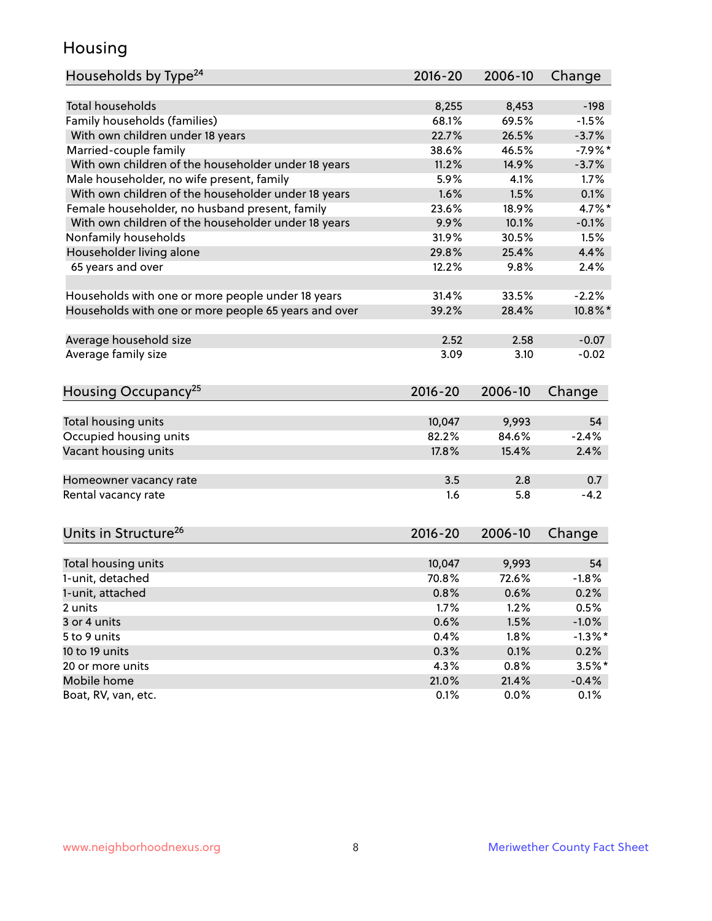### Housing

| Households by Type <sup>24</sup>                     | $2016 - 20$ | 2006-10       | Change              |
|------------------------------------------------------|-------------|---------------|---------------------|
|                                                      |             |               |                     |
| <b>Total households</b>                              | 8,255       | 8,453         | $-198$              |
| Family households (families)                         | 68.1%       | 69.5%         | $-1.5%$             |
| With own children under 18 years                     | 22.7%       | 26.5%         | $-3.7%$             |
| Married-couple family                                | 38.6%       | 46.5%         | $-7.9%$ *           |
| With own children of the householder under 18 years  | 11.2%       | 14.9%         | $-3.7%$             |
| Male householder, no wife present, family            | 5.9%        | 4.1%          | 1.7%                |
| With own children of the householder under 18 years  | 1.6%        | 1.5%          | 0.1%                |
| Female householder, no husband present, family       | 23.6%       | 18.9%         | 4.7%*               |
| With own children of the householder under 18 years  | 9.9%        | 10.1%         | $-0.1%$             |
| Nonfamily households                                 | 31.9%       | 30.5%         | 1.5%                |
| Householder living alone                             | 29.8%       | 25.4%         | 4.4%                |
| 65 years and over                                    | 12.2%       | 9.8%          | 2.4%                |
| Households with one or more people under 18 years    | 31.4%       | 33.5%         | $-2.2%$             |
| Households with one or more people 65 years and over | 39.2%       | 28.4%         | $10.8\%$ *          |
|                                                      |             |               |                     |
| Average household size                               | 2.52        | 2.58          | $-0.07$             |
| Average family size                                  | 3.09        | 3.10          | $-0.02$             |
| Housing Occupancy <sup>25</sup>                      | $2016 - 20$ | 2006-10       | Change              |
|                                                      |             |               |                     |
| Total housing units                                  | 10,047      | 9,993         | 54                  |
| Occupied housing units                               | 82.2%       | 84.6%         | $-2.4%$             |
| Vacant housing units                                 | 17.8%       | 15.4%         | 2.4%                |
| Homeowner vacancy rate                               | 3.5         | 2.8           | 0.7                 |
| Rental vacancy rate                                  | 1.6         | 5.8           | $-4.2$              |
|                                                      |             |               |                     |
| Units in Structure <sup>26</sup>                     | $2016 - 20$ | 2006-10       | Change              |
| Total housing units                                  | 10,047      | 9,993         | 54                  |
| 1-unit, detached                                     | 70.8%       | 72.6%         | $-1.8%$             |
| 1-unit, attached                                     | 0.8%        | 0.6%          | 0.2%                |
| 2 units                                              | 1.7%        | 1.2%          | 0.5%                |
| 3 or 4 units                                         | 0.6%        | 1.5%          | $-1.0%$             |
| 5 to 9 units                                         | 0.4%        | 1.8%          | $-1.3%$ *           |
| 10 to 19 units                                       | 0.3%        | 0.1%          | 0.2%                |
| 20 or more units                                     | 4.3%        |               |                     |
| Mobile home                                          | 21.0%       | 0.8%<br>21.4% | $3.5%$ *<br>$-0.4%$ |
| Boat, RV, van, etc.                                  | 0.1%        | 0.0%          | 0.1%                |
|                                                      |             |               |                     |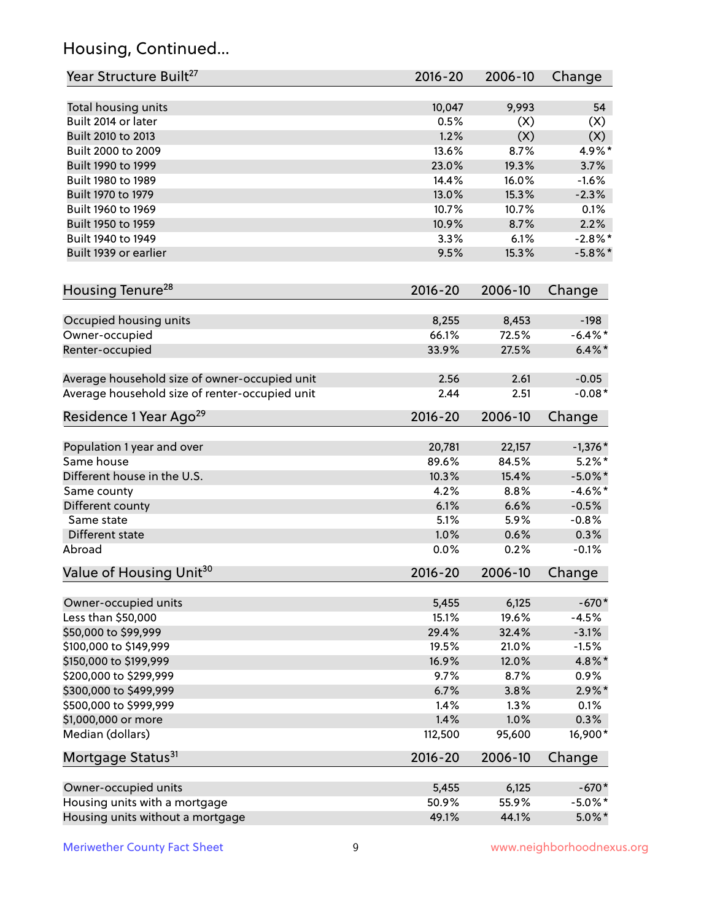# Housing, Continued...

| Year Structure Built <sup>27</sup>             | 2016-20     | 2006-10        | Change     |
|------------------------------------------------|-------------|----------------|------------|
| Total housing units                            | 10,047      | 9,993          | 54         |
| Built 2014 or later                            | 0.5%        | (X)            | (X)        |
| Built 2010 to 2013                             | 1.2%        | (X)            | (X)        |
| Built 2000 to 2009                             | 13.6%       | 8.7%           | 4.9%*      |
| Built 1990 to 1999                             | 23.0%       | 19.3%          | 3.7%       |
| Built 1980 to 1989                             | 14.4%       | 16.0%          | $-1.6%$    |
| Built 1970 to 1979                             | 13.0%       | 15.3%          | $-2.3%$    |
| Built 1960 to 1969                             | 10.7%       | 10.7%          | 0.1%       |
| Built 1950 to 1959                             | 10.9%       | 8.7%           | 2.2%       |
| Built 1940 to 1949                             | 3.3%        | 6.1%           | $-2.8\%$ * |
| Built 1939 or earlier                          | 9.5%        | 15.3%          | $-5.8\%$ * |
| Housing Tenure <sup>28</sup>                   | $2016 - 20$ | 2006-10        | Change     |
|                                                |             |                |            |
| Occupied housing units                         | 8,255       | 8,453          | $-198$     |
| Owner-occupied                                 | 66.1%       | 72.5%          | $-6.4\%$ * |
| Renter-occupied                                | 33.9%       | 27.5%          | $6.4\%$ *  |
| Average household size of owner-occupied unit  | 2.56        | 2.61           | $-0.05$    |
| Average household size of renter-occupied unit | 2.44        | 2.51           | $-0.08*$   |
| Residence 1 Year Ago <sup>29</sup>             | 2016-20     | 2006-10        | Change     |
| Population 1 year and over                     | 20,781      | 22,157         | $-1,376*$  |
| Same house                                     | 89.6%       | 84.5%          | $5.2\%$ *  |
| Different house in the U.S.                    | 10.3%       | 15.4%          | $-5.0\%$ * |
| Same county                                    | 4.2%        | 8.8%           | $-4.6\%$ * |
| Different county                               | 6.1%        | 6.6%           | $-0.5%$    |
| Same state                                     | 5.1%        | 5.9%           | $-0.8%$    |
| Different state                                | 1.0%        | 0.6%           | 0.3%       |
| Abroad                                         | 0.0%        | 0.2%           | $-0.1%$    |
| Value of Housing Unit <sup>30</sup>            | $2016 - 20$ | 2006-10        | Change     |
|                                                |             |                |            |
| Owner-occupied units                           | 5,455       | 6,125          | $-670*$    |
| Less than \$50,000                             | 15.1%       | 19.6%          | $-4.5%$    |
| \$50,000 to \$99,999                           | 29.4%       | 32.4%          | $-3.1%$    |
| \$100,000 to \$149,999                         | 19.5%       | 21.0%          | $-1.5%$    |
| \$150,000 to \$199,999                         | 16.9%       | 12.0%          | 4.8%*      |
| \$200,000 to \$299,999                         | 9.7%        | 8.7%           | 0.9%       |
| \$300,000 to \$499,999                         | 6.7%        | 3.8%           | $2.9\%*$   |
| \$500,000 to \$999,999                         | 1.4%        | 1.3%           | 0.1%       |
| \$1,000,000 or more<br>Median (dollars)        | 1.4%        | 1.0%<br>95,600 | 0.3%       |
|                                                | 112,500     |                | 16,900*    |
| Mortgage Status <sup>31</sup>                  | $2016 - 20$ | 2006-10        | Change     |
| Owner-occupied units                           | 5,455       | 6,125          | $-670*$    |
| Housing units with a mortgage                  | 50.9%       | 55.9%          | $-5.0\%$ * |
| Housing units without a mortgage               | 49.1%       | 44.1%          | $5.0\%$ *  |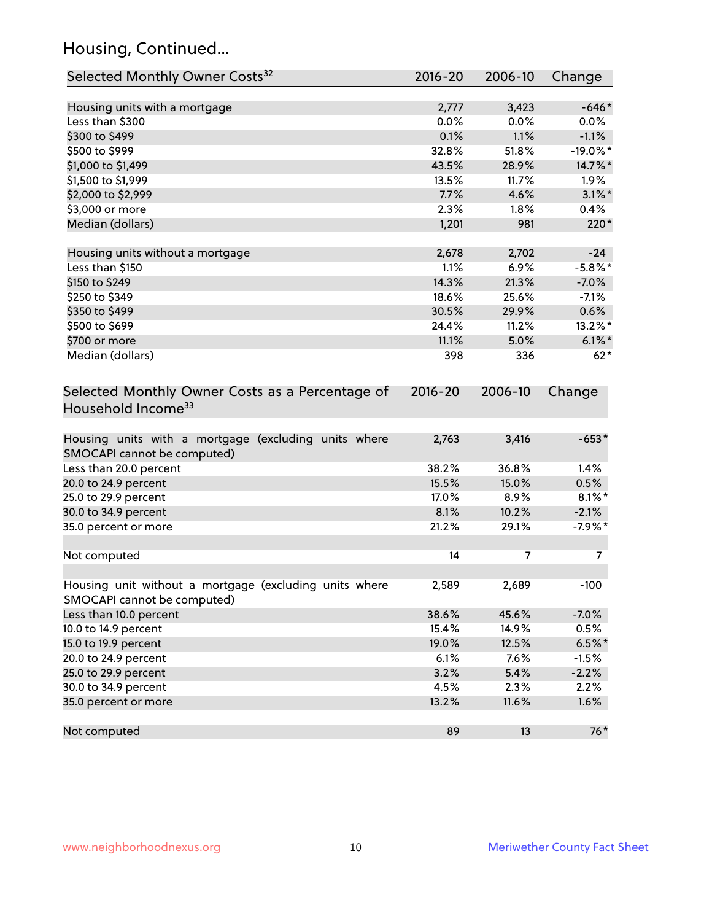# Housing, Continued...

| Selected Monthly Owner Costs <sup>32</sup>                                            | 2016-20 | 2006-10        | Change      |
|---------------------------------------------------------------------------------------|---------|----------------|-------------|
| Housing units with a mortgage                                                         | 2,777   | 3,423          | $-646*$     |
| Less than \$300                                                                       | 0.0%    | 0.0%           | $0.0\%$     |
| \$300 to \$499                                                                        | 0.1%    | 1.1%           | $-1.1%$     |
| \$500 to \$999                                                                        | 32.8%   | 51.8%          | $-19.0\%$ * |
| \$1,000 to \$1,499                                                                    | 43.5%   | 28.9%          | 14.7%*      |
| \$1,500 to \$1,999                                                                    | 13.5%   | 11.7%          | 1.9%        |
| \$2,000 to \$2,999                                                                    | 7.7%    | 4.6%           | $3.1\%$ *   |
| \$3,000 or more                                                                       | 2.3%    | 1.8%           | 0.4%        |
| Median (dollars)                                                                      | 1,201   | 981            | 220*        |
| Housing units without a mortgage                                                      | 2,678   | 2,702          | $-24$       |
| Less than \$150                                                                       | 1.1%    | 6.9%           | $-5.8\%$ *  |
| \$150 to \$249                                                                        | 14.3%   | 21.3%          | $-7.0%$     |
| \$250 to \$349                                                                        | 18.6%   | 25.6%          | $-7.1%$     |
| \$350 to \$499                                                                        | 30.5%   | 29.9%          | 0.6%        |
| \$500 to \$699                                                                        | 24.4%   | 11.2%          | 13.2%*      |
| \$700 or more                                                                         | 11.1%   | 5.0%           | $6.1\%$ *   |
| Median (dollars)                                                                      | 398     | 336            | $62*$       |
| Selected Monthly Owner Costs as a Percentage of<br>Household Income <sup>33</sup>     |         |                | Change      |
| Housing units with a mortgage (excluding units where<br>SMOCAPI cannot be computed)   | 2,763   | 3,416          | $-653*$     |
| Less than 20.0 percent                                                                | 38.2%   | 36.8%          | 1.4%        |
| 20.0 to 24.9 percent                                                                  | 15.5%   | 15.0%          | 0.5%        |
| 25.0 to 29.9 percent                                                                  | 17.0%   | 8.9%           | $8.1\%$ *   |
| 30.0 to 34.9 percent                                                                  | 8.1%    | 10.2%          | $-2.1%$     |
| 35.0 percent or more                                                                  | 21.2%   | 29.1%          | $-7.9%$ *   |
| Not computed                                                                          | 14      | $\overline{7}$ | 7           |
| Housing unit without a mortgage (excluding units where<br>SMOCAPI cannot be computed) | 2,589   | 2,689          | $-100$      |
| Less than 10.0 percent                                                                | 38.6%   | 45.6%          | $-7.0%$     |
| 10.0 to 14.9 percent                                                                  | 15.4%   | 14.9%          | 0.5%        |
| 15.0 to 19.9 percent                                                                  | 19.0%   | 12.5%          | $6.5%$ *    |
| 20.0 to 24.9 percent                                                                  | 6.1%    | 7.6%           | $-1.5%$     |
| 25.0 to 29.9 percent                                                                  | 3.2%    | 5.4%           | $-2.2%$     |
| 30.0 to 34.9 percent                                                                  | 4.5%    | 2.3%           | 2.2%        |
| 35.0 percent or more                                                                  | 13.2%   | 11.6%          | 1.6%        |
| Not computed                                                                          | 89      | 13             | $76*$       |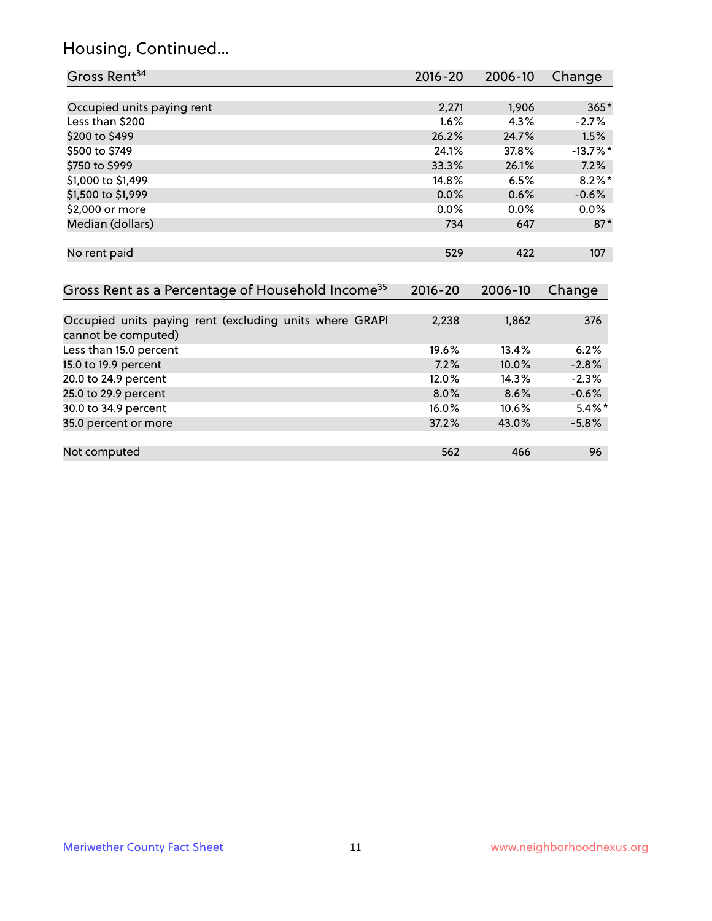# Housing, Continued...

| Gross Rent <sup>34</sup>                                                       | 2016-20 | 2006-10 | Change      |
|--------------------------------------------------------------------------------|---------|---------|-------------|
|                                                                                |         |         |             |
| Occupied units paying rent                                                     | 2,271   | 1,906   | $365*$      |
| Less than \$200                                                                | 1.6%    | 4.3%    | $-2.7%$     |
| \$200 to \$499                                                                 | 26.2%   | 24.7%   | 1.5%        |
| \$500 to \$749                                                                 | 24.1%   | 37.8%   | $-13.7\%$ * |
| \$750 to \$999                                                                 | 33.3%   | 26.1%   | 7.2%        |
| \$1,000 to \$1,499                                                             | 14.8%   | 6.5%    | $8.2\%$ *   |
| \$1,500 to \$1,999                                                             | 0.0%    | 0.6%    | $-0.6%$     |
| \$2,000 or more                                                                | 0.0%    | 0.0%    | 0.0%        |
| Median (dollars)                                                               | 734     | 647     | $87*$       |
| No rent paid                                                                   | 529     | 422     | 107         |
| Gross Rent as a Percentage of Household Income <sup>35</sup>                   | 2016-20 | 2006-10 | Change      |
|                                                                                |         |         |             |
| Occupied units paying rent (excluding units where GRAPI<br>cannot be computed) | 2,238   | 1,862   | 376         |
| Less than 15.0 percent                                                         | 19.6%   | 13.4%   | 6.2%        |
| 15.0 to 19.9 percent                                                           | 7.2%    | 10.0%   | $-2.8%$     |
| 20.0 to 24.9 percent                                                           | 12.0%   | 14.3%   | $-2.3%$     |
| 25.0 to 29.9 percent                                                           | 8.0%    | 8.6%    | $-0.6%$     |
| 30.0 to 34.9 percent                                                           | 16.0%   | 10.6%   | $5.4\%$ *   |
| 35.0 percent or more                                                           | 37.2%   | 43.0%   | $-5.8%$     |
|                                                                                |         |         |             |
| Not computed                                                                   | 562     | 466     | 96          |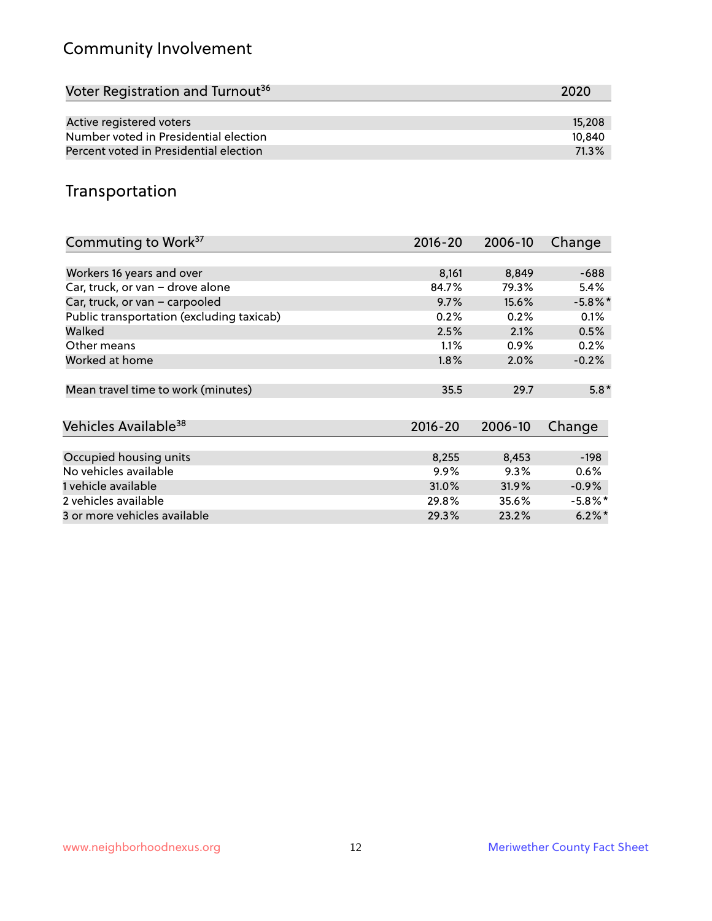# Community Involvement

| Voter Registration and Turnout <sup>36</sup> | 2020   |
|----------------------------------------------|--------|
|                                              |        |
| Active registered voters                     | 15,208 |
| Number voted in Presidential election        | 10.840 |
| Percent voted in Presidential election       | 71.3%  |

## Transportation

| Commuting to Work <sup>37</sup>           | 2016-20     | 2006-10 | Change     |
|-------------------------------------------|-------------|---------|------------|
|                                           |             |         |            |
| Workers 16 years and over                 | 8,161       | 8,849   | $-688$     |
| Car, truck, or van - drove alone          | 84.7%       | 79.3%   | 5.4%       |
| Car, truck, or van - carpooled            | 9.7%        | 15.6%   | $-5.8\%$ * |
| Public transportation (excluding taxicab) | 0.2%        | 0.2%    | 0.1%       |
| Walked                                    | 2.5%        | 2.1%    | 0.5%       |
| Other means                               | 1.1%        | $0.9\%$ | 0.2%       |
| Worked at home                            | 1.8%        | 2.0%    | $-0.2%$    |
| Mean travel time to work (minutes)        | 35.5        | 29.7    | $5.8*$     |
|                                           |             |         |            |
| Vehicles Available <sup>38</sup>          | $2016 - 20$ | 2006-10 | Change     |
| Occupied housing units                    | 8,255       | 8,453   | $-198$     |
| No vehicles available                     | 9.9%        | 9.3%    | 0.6%       |
| 1 vehicle available                       | 31.0%       | 31.9%   | $-0.9\%$   |
| 2 vehicles available                      | 29.8%       | 35.6%   | $-5.8\%$ * |
| 3 or more vehicles available              | 29.3%       | 23.2%   | $6.2\%$ *  |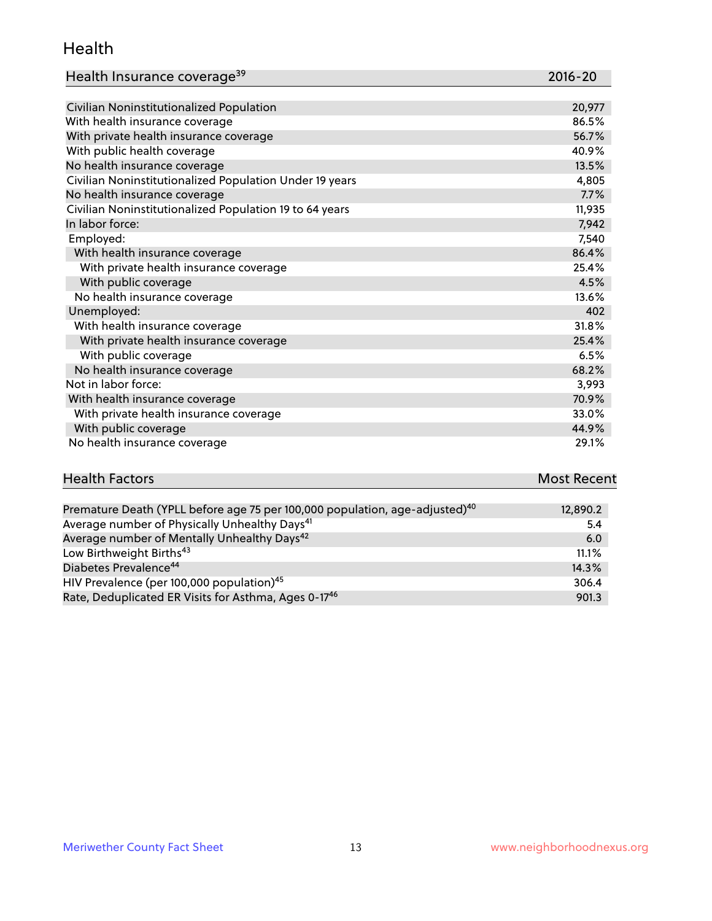#### Health

| Health Insurance coverage <sup>39</sup> | 2016-20 |
|-----------------------------------------|---------|
|-----------------------------------------|---------|

| Civilian Noninstitutionalized Population                | 20,977 |
|---------------------------------------------------------|--------|
| With health insurance coverage                          | 86.5%  |
| With private health insurance coverage                  | 56.7%  |
| With public health coverage                             | 40.9%  |
| No health insurance coverage                            | 13.5%  |
| Civilian Noninstitutionalized Population Under 19 years | 4,805  |
| No health insurance coverage                            | 7.7%   |
| Civilian Noninstitutionalized Population 19 to 64 years | 11,935 |
| In labor force:                                         | 7,942  |
| Employed:                                               | 7,540  |
| With health insurance coverage                          | 86.4%  |
| With private health insurance coverage                  | 25.4%  |
| With public coverage                                    | 4.5%   |
| No health insurance coverage                            | 13.6%  |
| Unemployed:                                             | 402    |
| With health insurance coverage                          | 31.8%  |
| With private health insurance coverage                  | 25.4%  |
| With public coverage                                    | 6.5%   |
| No health insurance coverage                            | 68.2%  |
| Not in labor force:                                     | 3,993  |
| With health insurance coverage                          | 70.9%  |
| With private health insurance coverage                  | 33.0%  |
| With public coverage                                    | 44.9%  |
| No health insurance coverage                            | 29.1%  |

| <b>Health Factors</b> | <b>Most Recent</b> |
|-----------------------|--------------------|
|                       |                    |

| Premature Death (YPLL before age 75 per 100,000 population, age-adjusted) <sup>40</sup> | 12,890.2 |
|-----------------------------------------------------------------------------------------|----------|
| Average number of Physically Unhealthy Days <sup>41</sup>                               | 5.4      |
| Average number of Mentally Unhealthy Days <sup>42</sup>                                 | 6.0      |
| Low Birthweight Births <sup>43</sup>                                                    | $11.1\%$ |
| Diabetes Prevalence <sup>44</sup>                                                       | 14.3%    |
| HIV Prevalence (per 100,000 population) <sup>45</sup>                                   | 306.4    |
| Rate, Deduplicated ER Visits for Asthma, Ages 0-17 <sup>46</sup>                        | 901.3    |